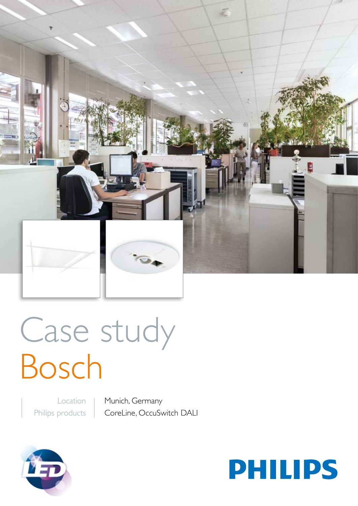

# Case study Bosch

Location Philips products Munich, Germany CoreLine, OccuSwitch DALI



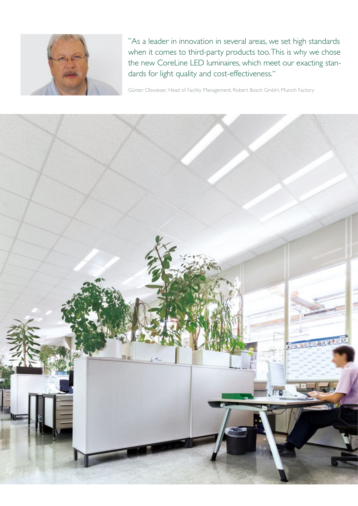

"As a leader in innovation in several areas, we set high standards when it comes to third-party products too. This is why we chose the new CoreLine LED luminaires, which meet our exacting standards for light quality and cost-effectiveness."

Günter Obwieser, Head of Facility Management, Robert Bosch GmbH, Munich Factory

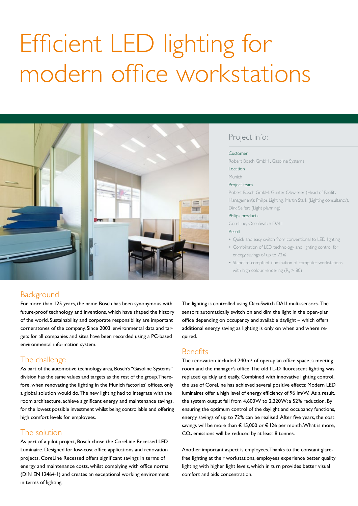# Efficient LED lighting for modern office workstations



# Project info:

#### Customer

Robert Bosch GmbH , Gasoline Systems Location

# Munich

Project team

Robert Bosch GmbH, Günter Obwieser (Head of Facility Management); Philips Lighting, Martin Stark (Lighting consultancy),

### Philips products

CoreLine, OccuSwitch DALI

Dirk Seifert (Light planning)

#### Result

- Quick and easy switch from conventional to LED lighting
- Combination of LED technology and lighting control for energy savings of up to 72%
- Standard-compliant illumination of computer workstations with high colour rendering  $(R_a > 80)$

# Background

For more than 125 years, the name Bosch has been synonymous with future-proof technology and inventions, which have shaped the history of the world. Sustainability and corporate responsibility are important cornerstones of the company. Since 2003, environmental data and targets for all companies and sites have been recorded using a PC-based environmental information system.

# The challenge

As part of the automotive technology area, Bosch's "Gasoline Systems" division has the same values and targets as the rest of the group. Therefore, when renovating the lighting in the Munich factories' offices, only a global solution would do. The new lighting had to integrate with the room architecture, achieve significant energy and maintenance savings, for the lowest possible investment whilst being controllable and offering high comfort levels for employees.

# The solution

As part of a pilot project, Bosch chose the CoreLine Recessed LED Luminaire. Designed for low-cost office applications and renovation projects, CoreLine Recessed offers significant savings in terms of energy and maintenance costs, whilst complying with office norms (DIN EN 12464-1) and creates an exceptional working environment in terms of lighting.

The lighting is controlled using OccuSwitch DALI multi-sensors. The sensors automatically switch on and dim the light in the open-plan office depending on occupancy and available daylight – which offers additional energy saving as lighting is only on when and where required.

# **Benefits**

The renovation included 240m2 of open-plan office space, a meeting room and the manager's office. The old TL-D fluorescent lighting was replaced quickly and easily. Combined with innovative lighting control, the use of CoreLine has achieved several positive effects: Modern LED luminaires offer a high level of energy efficiency of 96 lm/W. As a result, the system output fell from 4,600W to 2,220W; a 52% reduction. By ensuring the optimum control of the daylight and occupancy functions, energy savings of up to 72% can be realised. After five years, the cost savings will be more than € 15,000 or € 126 per month. What is more,  $CO<sub>2</sub>$  emissions will be reduced by at least 8 tonnes.

Another important aspect is employees. Thanks to the constant glarefree lighting at their workstations, employees experience better quality lighting with higher light levels, which in turn provides better visual comfort and aids concentration.